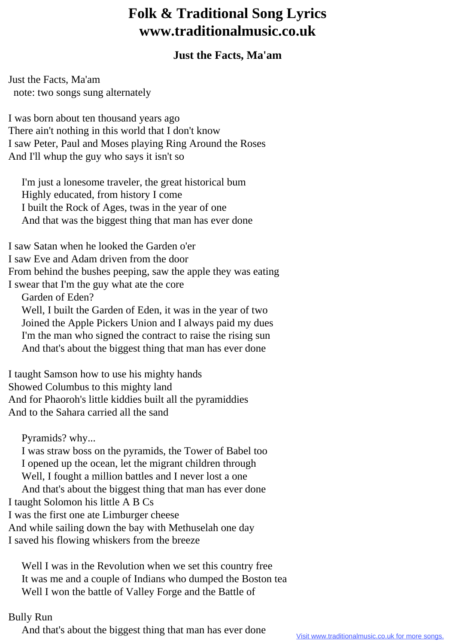## **Folk & Traditional Song Lyrics www.traditionalmusic.co.uk**

## **Just the Facts, Ma'am**

Just the Facts, Ma'am note: two songs sung alternately

I was born about ten thousand years ago There ain't nothing in this world that I don't know I saw Peter, Paul and Moses playing Ring Around the Roses And I'll whup the guy who says it isn't so

 I'm just a lonesome traveler, the great historical bum Highly educated, from history I come I built the Rock of Ages, twas in the year of one And that was the biggest thing that man has ever done

I saw Satan when he looked the Garden o'er I saw Eve and Adam driven from the door From behind the bushes peeping, saw the apple they was eating I swear that I'm the guy what ate the core

Garden of Eden?

 Well, I built the Garden of Eden, it was in the year of two Joined the Apple Pickers Union and I always paid my dues I'm the man who signed the contract to raise the rising sun And that's about the biggest thing that man has ever done

I taught Samson how to use his mighty hands Showed Columbus to this mighty land And for Phaoroh's little kiddies built all the pyramiddies And to the Sahara carried all the sand

Pyramids? why...

 I was straw boss on the pyramids, the Tower of Babel too I opened up the ocean, let the migrant children through Well, I fought a million battles and I never lost a one And that's about the biggest thing that man has ever done I taught Solomon his little A B Cs I was the first one ate Limburger cheese And while sailing down the bay with Methuselah one day I saved his flowing whiskers from the breeze

 Well I was in the Revolution when we set this country free It was me and a couple of Indians who dumped the Boston tea Well I won the battle of Valley Forge and the Battle of

## Bully Run

And that's about the biggest thing that man has ever done